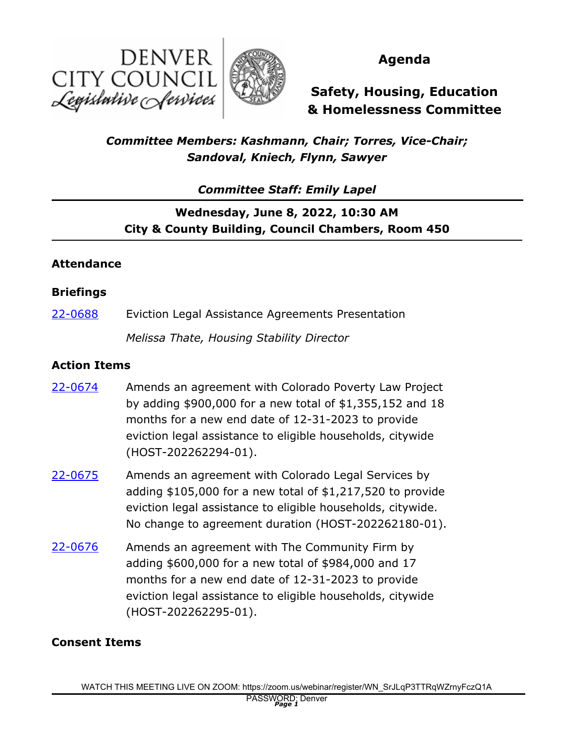



## **Agenda**

**Safety, Housing, Education & Homelessness Committee**

## *Committee Members: Kashmann, Chair; Torres, Vice-Chair; Sandoval, Kniech, Flynn, Sawyer*

*Committee Staff: Emily Lapel*

# **Wednesday, June 8, 2022, 10:30 AM City & County Building, Council Chambers, Room 450**

### **Attendance**

#### **Briefings**

[22-0688](http://denver.legistar.com/gateway.aspx?m=l&id=/matter.aspx?key=21755) Eviction Legal Assistance Agreements Presentation

*Melissa Thate, Housing Stability Director*

#### **Action Items**

- Amends an agreement with Colorado Poverty Law Project by adding \$900,000 for a new total of \$1,355,152 and 18 months for a new end date of 12-31-2023 to provide eviction legal assistance to eligible households, citywide (HOST-202262294-01). [22-0674](http://denver.legistar.com/gateway.aspx?m=l&id=/matter.aspx?key=21741)
- Amends an agreement with Colorado Legal Services by adding \$105,000 for a new total of \$1,217,520 to provide eviction legal assistance to eligible households, citywide. No change to agreement duration (HOST-202262180-01). [22-0675](http://denver.legistar.com/gateway.aspx?m=l&id=/matter.aspx?key=21742)
- Amends an agreement with The Community Firm by adding \$600,000 for a new total of \$984,000 and 17 months for a new end date of 12-31-2023 to provide eviction legal assistance to eligible households, citywide (HOST-202262295-01). [22-0676](http://denver.legistar.com/gateway.aspx?m=l&id=/matter.aspx?key=21743)

#### **Consent Items**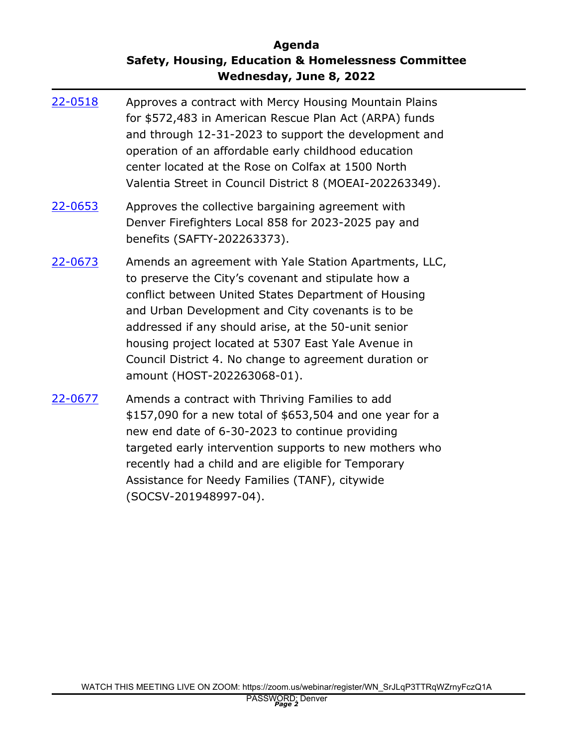## **Agenda Safety, Housing, Education & Homelessness Committee Wednesday, June 8, 2022**

| 22-0518 | Approves a contract with Mercy Housing Mountain Plains<br>for \$572,483 in American Rescue Plan Act (ARPA) funds<br>and through 12-31-2023 to support the development and<br>operation of an affordable early childhood education<br>center located at the Rose on Colfax at 1500 North<br>Valentia Street in Council District 8 (MOEAI-202263349).                                                                                |
|---------|------------------------------------------------------------------------------------------------------------------------------------------------------------------------------------------------------------------------------------------------------------------------------------------------------------------------------------------------------------------------------------------------------------------------------------|
| 22-0653 | Approves the collective bargaining agreement with<br>Denver Firefighters Local 858 for 2023-2025 pay and<br>benefits (SAFTY-202263373).                                                                                                                                                                                                                                                                                            |
| 22-0673 | Amends an agreement with Yale Station Apartments, LLC,<br>to preserve the City's covenant and stipulate how a<br>conflict between United States Department of Housing<br>and Urban Development and City covenants is to be<br>addressed if any should arise, at the 50-unit senior<br>housing project located at 5307 East Yale Avenue in<br>Council District 4. No change to agreement duration or<br>amount (HOST-202263068-01). |
| 22-0677 | Amends a contract with Thriving Families to add<br>\$157,090 for a new total of \$653,504 and one year for a<br>new end date of 6-30-2023 to continue providing<br>targeted early intervention supports to new mothers who<br>recently had a child and are eligible for Temporary<br>Assistance for Needy Families (TANF), citywide                                                                                                |

(SOCSV-201948997-04).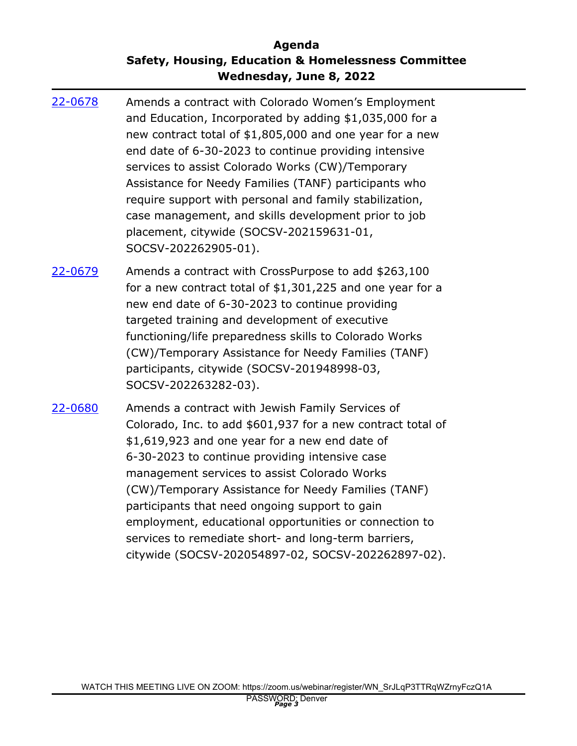## **Agenda Safety, Housing, Education & Homelessness Committee Wednesday, June 8, 2022**

- Amends a contract with Colorado Women's Employment and Education, Incorporated by adding \$1,035,000 for a new contract total of \$1,805,000 and one year for a new end date of 6-30-2023 to continue providing intensive services to assist Colorado Works (CW)/Temporary Assistance for Needy Families (TANF) participants who require support with personal and family stabilization, case management, and skills development prior to job placement, citywide (SOCSV-202159631-01, SOCSV-202262905-01). [22-0678](http://denver.legistar.com/gateway.aspx?m=l&id=/matter.aspx?key=21745)
- Amends a contract with CrossPurpose to add \$263,100 for a new contract total of \$1,301,225 and one year for a new end date of 6-30-2023 to continue providing targeted training and development of executive functioning/life preparedness skills to Colorado Works (CW)/Temporary Assistance for Needy Families (TANF) participants, citywide (SOCSV-201948998-03, SOCSV-202263282-03). [22-0679](http://denver.legistar.com/gateway.aspx?m=l&id=/matter.aspx?key=21746)
- Amends a contract with Jewish Family Services of Colorado, Inc. to add \$601,937 for a new contract total of \$1,619,923 and one year for a new end date of 6-30-2023 to continue providing intensive case management services to assist Colorado Works (CW)/Temporary Assistance for Needy Families (TANF) participants that need ongoing support to gain employment, educational opportunities or connection to services to remediate short- and long-term barriers, citywide (SOCSV-202054897-02, SOCSV-202262897-02). [22-0680](http://denver.legistar.com/gateway.aspx?m=l&id=/matter.aspx?key=21747)